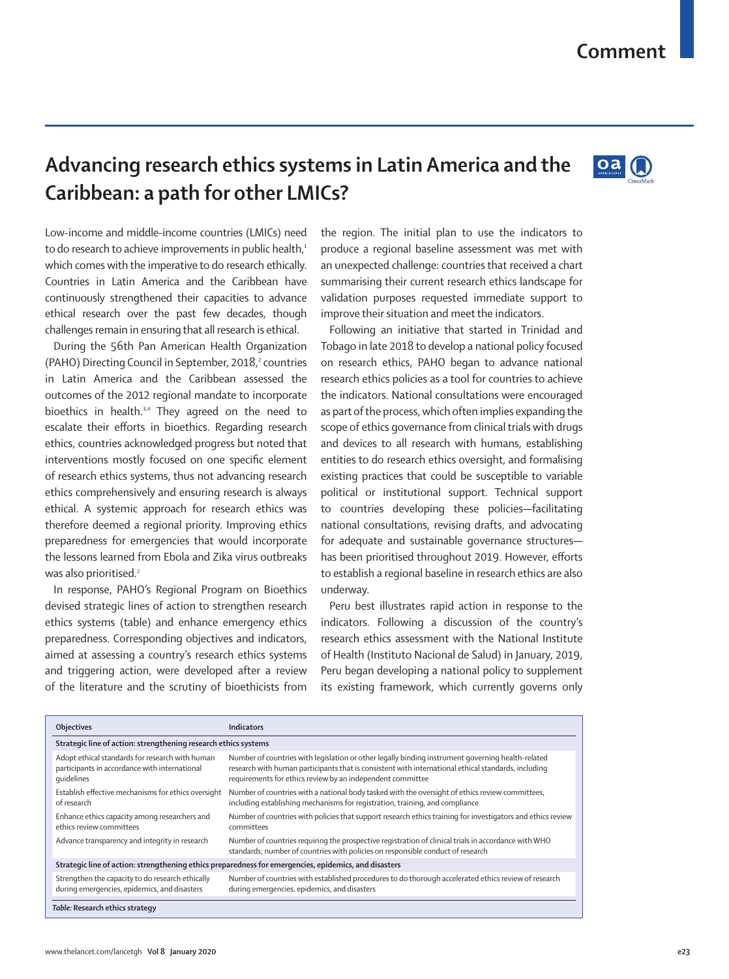## **Advancing research ethics systems in Latin America and the Caribbean: a path for other LMICs?**

Low-income and middle-income countries (LMICs) need to do research to achieve improvements in public health,<sup>1</sup> which comes with the imperative to do research ethically. Countries in Latin America and the Caribbean have continuously strengthened their capacities to advance ethical research over the past few decades, though challenges remain in ensuring that all research is ethical.

During the 56th Pan American Health Organization (PAHO) Directing Council in September, 2018,<sup>2</sup> countries in Latin America and the Caribbean assessed the outcomes of the 2012 regional mandate to incorporate bioethics in health.<sup>3,4</sup> They agreed on the need to escalate their efforts in bioethics. Regarding research ethics, countries acknowledged progress but noted that interventions mostly focused on one specific element of research ethics systems, thus not advancing research ethics comprehensively and ensuring research is always ethical. A systemic approach for research ethics was therefore deemed a regional priority. Improving ethics preparedness for emergencies that would incorporate the lessons learned from Ebola and Zika virus outbreaks was also prioritised.<sup>2</sup>

In response, PAHO's Regional Program on Bioethics devised strategic lines of action to strengthen research ethics systems (table) and enhance emergency ethics preparedness. Corresponding objectives and indicators, aimed at assessing a country's research ethics systems and triggering action, were developed after a review of the literature and the scrutiny of bioethicists from the region. The initial plan to use the indicators to produce a regional baseline assessment was met with an unexpected challenge: countries that received a chart summarising their current research ethics landscape for validation purposes requested immediate support to improve their situation and meet the indicators.

Following an initiative that started in Trinidad and Tobago in late 2018 to develop a national policy focused on research ethics, PAHO began to advance national research ethics policies as a tool for countries to achieve the indicators. National consultations were encouraged as part of the process, which often implies expanding the scope of ethics governance from clinical trials with drugs and devices to all research with humans, establishing entities to do research ethics oversight, and formalising existing practices that could be susceptible to variable political or institutional support. Technical support to countries developing these policies—facilitating national consultations, revising drafts, and advocating for adequate and sustainable governance structures has been prioritised throughout 2019. However, efforts to establish a regional baseline in research ethics are also underway.

Peru best illustrates rapid action in response to the indicators. Following a discussion of the country's research ethics assessment with the National Institute of Health (Instituto Nacional de Salud) in January, 2019, Peru began developing a national policy to supplement its existing framework, which currently governs only

| <b>Objectives</b>                                                                                              | <b>Indicators</b>                                                                                                                                                                                                                                                      |
|----------------------------------------------------------------------------------------------------------------|------------------------------------------------------------------------------------------------------------------------------------------------------------------------------------------------------------------------------------------------------------------------|
| Strategic line of action: strengthening research ethics systems                                                |                                                                                                                                                                                                                                                                        |
| Adopt ethical standards for research with human<br>participants in accordance with international<br>quidelines | Number of countries with legislation or other legally binding instrument governing health-related<br>research with human participants that is consistent with international ethical standards, including<br>requirements for ethics review by an independent committee |
| Establish effective mechanisms for ethics oversight<br>of research                                             | Number of countries with a national body tasked with the oversight of ethics review committees,<br>including establishing mechanisms for registration, training, and compliance                                                                                        |
| Enhance ethics capacity among researchers and<br>ethics review committees                                      | Number of countries with policies that support research ethics training for investigators and ethics review<br>committees                                                                                                                                              |
| Advance transparency and integrity in research                                                                 | Number of countries requiring the prospective registration of clinical trials in accordance with WHO<br>standards; number of countries with policies on responsible conduct of research                                                                                |
| Strategic line of action: strengthening ethics preparedness for emergencies, epidemics, and disasters          |                                                                                                                                                                                                                                                                        |
| Strengthen the capacity to do research ethically<br>during emergencies, epidemics, and disasters               | Number of countries with established procedures to do thorough accelerated ethics review of research<br>during emergencies, epidemics, and disasters                                                                                                                   |
| Table: Research ethics strategy                                                                                |                                                                                                                                                                                                                                                                        |